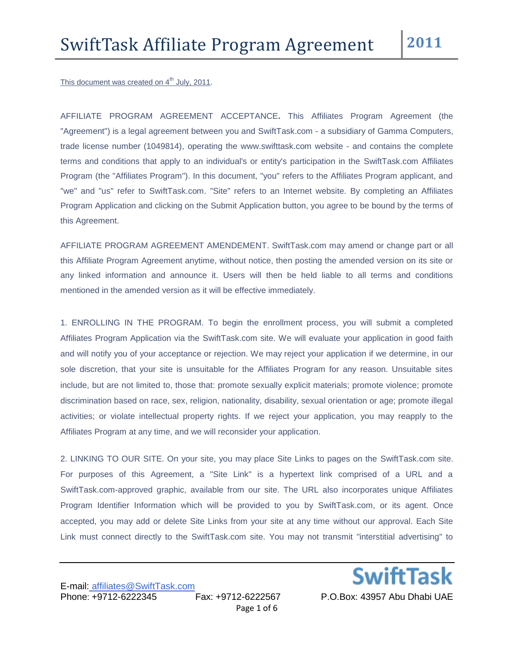This document was created on 4<sup>th</sup> July, 2011.

AFFILIATE PROGRAM AGREEMENT ACCEPTANCE**.** This Affiliates Program Agreement (the "Agreement") is a legal agreement between you and SwiftTask.com - a subsidiary of Gamma Computers, trade license number (1049814), operating the www.swifttask.com website - and contains the complete terms and conditions that apply to an individual's or entity's participation in the SwiftTask.com Affiliates Program (the "Affiliates Program"). In this document, "you" refers to the Affiliates Program applicant, and "we" and "us" refer to SwiftTask.com. "Site" refers to an Internet website. By completing an Affiliates Program Application and clicking on the Submit Application button, you agree to be bound by the terms of this Agreement.

AFFILIATE PROGRAM AGREEMENT AMENDEMENT. SwiftTask.com may amend or change part or all this Affiliate Program Agreement anytime, without notice, then posting the amended version on its site or any linked information and announce it. Users will then be held liable to all terms and conditions mentioned in the amended version as it will be effective immediately.

1. ENROLLING IN THE PROGRAM. To begin the enrollment process, you will submit a completed Affiliates Program Application via the SwiftTask.com site. We will evaluate your application in good faith and will notify you of your acceptance or rejection. We may reject your application if we determine, in our sole discretion, that your site is unsuitable for the Affiliates Program for any reason. Unsuitable sites include, but are not limited to, those that: promote sexually explicit materials; promote violence; promote discrimination based on race, sex, religion, nationality, disability, sexual orientation or age; promote illegal activities; or violate intellectual property rights. If we reject your application, you may reapply to the Affiliates Program at any time, and we will reconsider your application.

2. LINKING TO OUR SITE. On your site, you may place Site Links to pages on the SwiftTask.com site. For purposes of this Agreement, a "Site Link" is a hypertext link comprised of a URL and a SwiftTask.com-approved graphic, available from our site. The URL also incorporates unique Affiliates Program Identifier Information which will be provided to you by SwiftTask.com, or its agent. Once accepted, you may add or delete Site Links from your site at any time without our approval. Each Site Link must connect directly to the SwiftTask.com site. You may not transmit "interstitial advertising" to

**SwiftTask**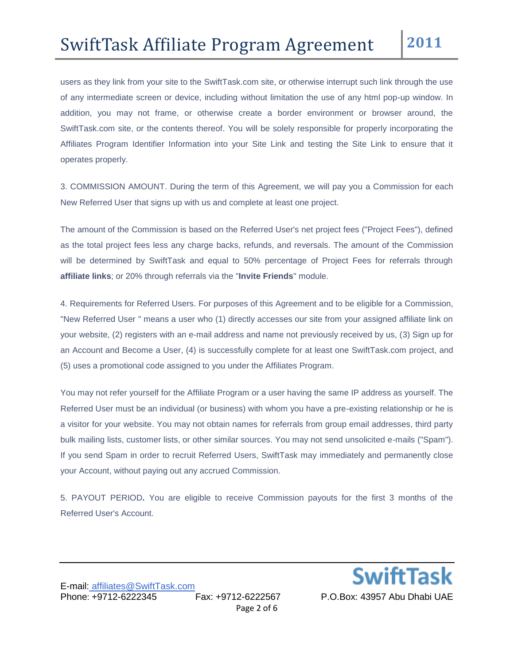users as they link from your site to the SwiftTask.com site, or otherwise interrupt such link through the use of any intermediate screen or device, including without limitation the use of any html pop-up window. In addition, you may not frame, or otherwise create a border environment or browser around, the SwiftTask.com site, or the contents thereof. You will be solely responsible for properly incorporating the Affiliates Program Identifier Information into your Site Link and testing the Site Link to ensure that it operates properly.

3. COMMISSION AMOUNT. During the term of this Agreement, we will pay you a Commission for each New Referred User that signs up with us and complete at least one project.

The amount of the Commission is based on the Referred User's net project fees ("Project Fees"), defined as the total project fees less any charge backs, refunds, and reversals. The amount of the Commission will be determined by SwiftTask and equal to 50% percentage of Project Fees for referrals through **affiliate links**; or 20% through referrals via the "**Invite Friends**" module.

4. Requirements for Referred Users. For purposes of this Agreement and to be eligible for a Commission, "New Referred User " means a user who (1) directly accesses our site from your assigned affiliate link on your website, (2) registers with an e-mail address and name not previously received by us, (3) Sign up for an Account and Become a User, (4) is successfully complete for at least one SwiftTask.com project, and (5) uses a promotional code assigned to you under the Affiliates Program.

You may not refer yourself for the Affiliate Program or a user having the same IP address as yourself. The Referred User must be an individual (or business) with whom you have a pre-existing relationship or he is a visitor for your website. You may not obtain names for referrals from group email addresses, third party bulk mailing lists, customer lists, or other similar sources. You may not send unsolicited e-mails ("Spam"). If you send Spam in order to recruit Referred Users, SwiftTask may immediately and permanently close your Account, without paying out any accrued Commission.

5. PAYOUT PERIOD**.** You are eligible to receive Commission payouts for the first 3 months of the Referred User's Account.

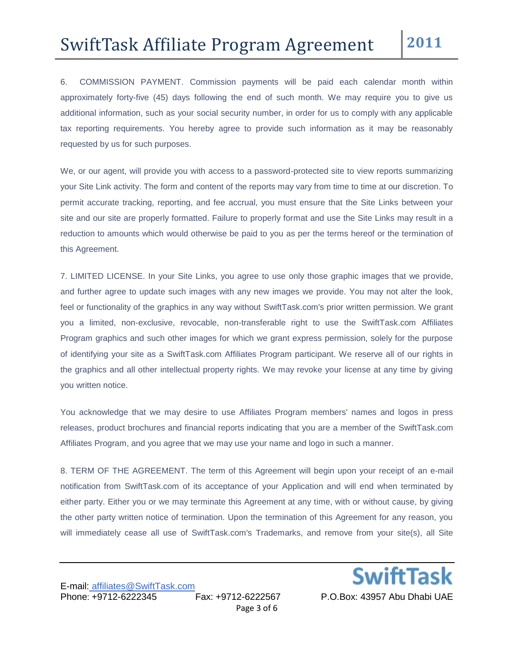6. COMMISSION PAYMENT. Commission payments will be paid each calendar month within approximately forty-five (45) days following the end of such month. We may require you to give us additional information, such as your social security number, in order for us to comply with any applicable tax reporting requirements. You hereby agree to provide such information as it may be reasonably requested by us for such purposes.

We, or our agent, will provide you with access to a password-protected site to view reports summarizing your Site Link activity. The form and content of the reports may vary from time to time at our discretion. To permit accurate tracking, reporting, and fee accrual, you must ensure that the Site Links between your site and our site are properly formatted. Failure to properly format and use the Site Links may result in a reduction to amounts which would otherwise be paid to you as per the terms hereof or the termination of this Agreement.

7. LIMITED LICENSE. In your Site Links, you agree to use only those graphic images that we provide, and further agree to update such images with any new images we provide. You may not alter the look, feel or functionality of the graphics in any way without SwiftTask.com's prior written permission. We grant you a limited, non-exclusive, revocable, non-transferable right to use the SwiftTask.com Affiliates Program graphics and such other images for which we grant express permission, solely for the purpose of identifying your site as a SwiftTask.com Affiliates Program participant. We reserve all of our rights in the graphics and all other intellectual property rights. We may revoke your license at any time by giving you written notice.

You acknowledge that we may desire to use Affiliates Program members' names and logos in press releases, product brochures and financial reports indicating that you are a member of the SwiftTask.com Affiliates Program, and you agree that we may use your name and logo in such a manner.

8. TERM OF THE AGREEMENT. The term of this Agreement will begin upon your receipt of an e-mail notification from SwiftTask.com of its acceptance of your Application and will end when terminated by either party. Either you or we may terminate this Agreement at any time, with or without cause, by giving the other party written notice of termination. Upon the termination of this Agreement for any reason, you will immediately cease all use of SwiftTask.com's Trademarks, and remove from your site(s), all Site

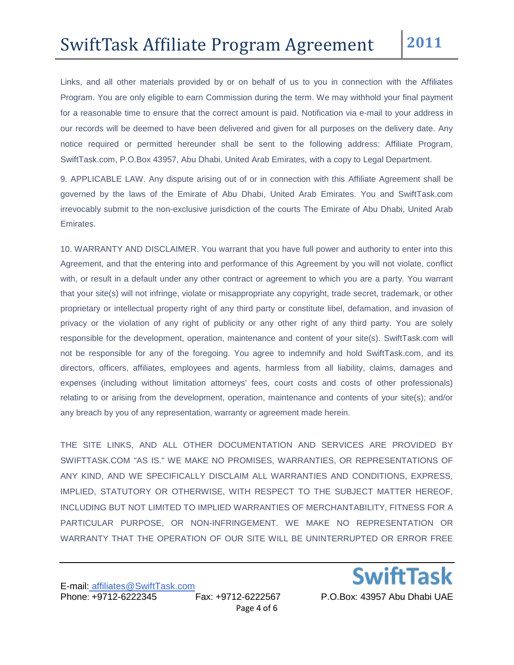Links, and all other materials provided by or on behalf of us to you in connection with the Affiliates Program. You are only eligible to earn Commission during the term. We may withhold your final payment for a reasonable time to ensure that the correct amount is paid. Notification via e-mail to your address in our records will be deemed to have been delivered and given for all purposes on the delivery date. Any notice required or permitted hereunder shall be sent to the following address: Affiliate Program, SwiftTask.com, P.O.Box 43957, Abu Dhabi, United Arab Emirates, with a copy to Legal Department.

9. APPLICABLE LAW. Any dispute arising out of or in connection with this Affiliate Agreement shall be governed by the laws of the Emirate of Abu Dhabi, United Arab Emirates. You and SwiftTask.com irrevocably submit to the non-exclusive jurisdiction of the courts The Emirate of Abu Dhabi, United Arab Emirates.

10. WARRANTY AND DISCLAIMER. You warrant that you have full power and authority to enter into this Agreement, and that the entering into and performance of this Agreement by you will not violate, conflict with, or result in a default under any other contract or agreement to which you are a party. You warrant that your site(s) will not infringe, violate or misappropriate any copyright, trade secret, trademark, or other proprietary or intellectual property right of any third party or constitute libel, defamation, and invasion of privacy or the violation of any right of publicity or any other right of any third party. You are solely responsible for the development, operation, maintenance and content of your site(s). SwiftTask.com will not be responsible for any of the foregoing. You agree to indemnify and hold SwiftTask.com, and its directors, officers, affiliates, employees and agents, harmless from all liability, claims, damages and expenses (including without limitation attorneys' fees, court costs and costs of other professionals) relating to or arising from the development, operation, maintenance and contents of your site(s); and/or any breach by you of any representation, warranty or agreement made herein.

THE SITE LINKS, AND ALL OTHER DOCUMENTATION AND SERVICES ARE PROVIDED BY SWIFTTASK.COM "AS IS." WE MAKE NO PROMISES, WARRANTIES, OR REPRESENTATIONS OF ANY KIND, AND WE SPECIFICALLY DISCLAIM ALL WARRANTIES AND CONDITIONS, EXPRESS, IMPLIED, STATUTORY OR OTHERWISE, WITH RESPECT TO THE SUBJECT MATTER HEREOF, INCLUDING BUT NOT LIMITED TO IMPLIED WARRANTIES OF MERCHANTABILITY, FITNESS FOR A PARTICULAR PURPOSE, OR NON-INFRINGEMENT. WE MAKE NO REPRESENTATION OR WARRANTY THAT THE OPERATION OF OUR SITE WILL BE UNINTERRUPTED OR ERROR FREE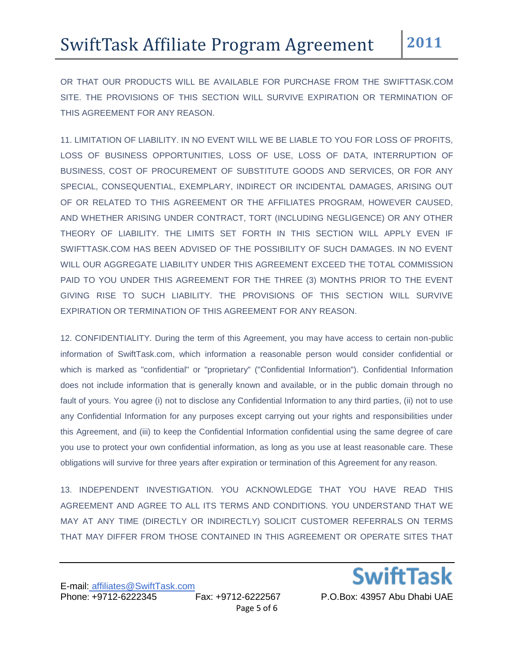OR THAT OUR PRODUCTS WILL BE AVAILABLE FOR PURCHASE FROM THE SWIFTTASK.COM SITE. THE PROVISIONS OF THIS SECTION WILL SURVIVE EXPIRATION OR TERMINATION OF THIS AGREEMENT FOR ANY REASON.

11. LIMITATION OF LIABILITY. IN NO EVENT WILL WE BE LIABLE TO YOU FOR LOSS OF PROFITS, LOSS OF BUSINESS OPPORTUNITIES, LOSS OF USE, LOSS OF DATA, INTERRUPTION OF BUSINESS, COST OF PROCUREMENT OF SUBSTITUTE GOODS AND SERVICES, OR FOR ANY SPECIAL, CONSEQUENTIAL, EXEMPLARY, INDIRECT OR INCIDENTAL DAMAGES, ARISING OUT OF OR RELATED TO THIS AGREEMENT OR THE AFFILIATES PROGRAM, HOWEVER CAUSED, AND WHETHER ARISING UNDER CONTRACT, TORT (INCLUDING NEGLIGENCE) OR ANY OTHER THEORY OF LIABILITY. THE LIMITS SET FORTH IN THIS SECTION WILL APPLY EVEN IF SWIFTTASK.COM HAS BEEN ADVISED OF THE POSSIBILITY OF SUCH DAMAGES. IN NO EVENT WILL OUR AGGREGATE LIABILITY UNDER THIS AGREEMENT EXCEED THE TOTAL COMMISSION PAID TO YOU UNDER THIS AGREEMENT FOR THE THREE (3) MONTHS PRIOR TO THE EVENT GIVING RISE TO SUCH LIABILITY. THE PROVISIONS OF THIS SECTION WILL SURVIVE EXPIRATION OR TERMINATION OF THIS AGREEMENT FOR ANY REASON.

12. CONFIDENTIALITY. During the term of this Agreement, you may have access to certain non-public information of SwiftTask.com, which information a reasonable person would consider confidential or which is marked as "confidential" or "proprietary" ("Confidential Information"). Confidential Information does not include information that is generally known and available, or in the public domain through no fault of yours. You agree (i) not to disclose any Confidential Information to any third parties, (ii) not to use any Confidential Information for any purposes except carrying out your rights and responsibilities under this Agreement, and (iii) to keep the Confidential Information confidential using the same degree of care you use to protect your own confidential information, as long as you use at least reasonable care. These obligations will survive for three years after expiration or termination of this Agreement for any reason.

13. INDEPENDENT INVESTIGATION. YOU ACKNOWLEDGE THAT YOU HAVE READ THIS AGREEMENT AND AGREE TO ALL ITS TERMS AND CONDITIONS. YOU UNDERSTAND THAT WE MAY AT ANY TIME (DIRECTLY OR INDIRECTLY) SOLICIT CUSTOMER REFERRALS ON TERMS THAT MAY DIFFER FROM THOSE CONTAINED IN THIS AGREEMENT OR OPERATE SITES THAT